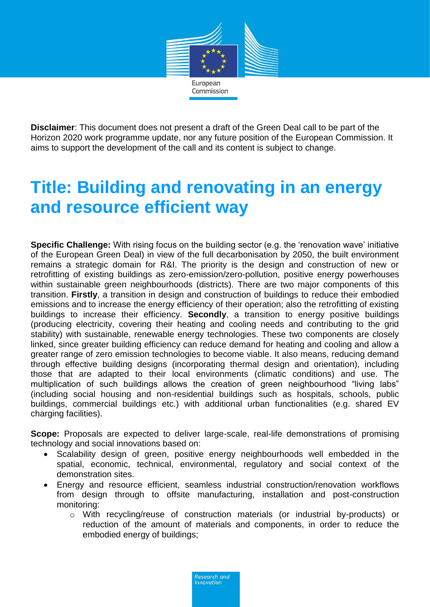

**Disclaimer**: This document does not present a draft of the Green Deal call to be part of the Horizon 2020 work programme update, nor any future position of the European Commission. It aims to support the development of the call and its content is subject to change.

## **Title: Building and renovating in an energy and resource efficient way**

**Specific Challenge:** With rising focus on the building sector (e.g. the 'renovation wave' initiative of the European Green Deal) in view of the full decarbonisation by 2050, the built environment remains a strategic domain for R&I. The priority is the design and construction of new or retrofitting of existing buildings as zero-emission/zero-pollution, positive energy powerhouses within sustainable green neighbourhoods (districts). There are two major components of this transition. **Firstly**, a transition in design and construction of buildings to reduce their embodied emissions and to increase the energy efficiency of their operation; also the retrofitting of existing buildings to increase their efficiency. **Secondly**, a transition to energy positive buildings (producing electricity, covering their heating and cooling needs and contributing to the grid stability) with sustainable, renewable energy technologies. These two components are closely linked, since greater building efficiency can reduce demand for heating and cooling and allow a greater range of zero emission technologies to become viable. It also means, reducing demand through effective building designs (incorporating thermal design and orientation), including those that are adapted to their local environments (climatic conditions) and use. The multiplication of such buildings allows the creation of green neighbourhood "living labs" (including social housing and non-residential buildings such as hospitals, schools, public buildings, commercial buildings etc.) with additional urban functionalities (e.g. shared EV charging facilities).

**Scope:** Proposals are expected to deliver large-scale, real-life demonstrations of promising technology and social innovations based on:

- Scalability design of green, positive energy neighbourhoods well embedded in the spatial, economic, technical, environmental, regulatory and social context of the demonstration sites.
- Energy and resource efficient, seamless industrial construction/renovation workflows from design through to offsite manufacturing, installation and post-construction monitoring:
	- o With recycling/reuse of construction materials (or industrial by-products) or reduction of the amount of materials and components, in order to reduce the embodied energy of buildings;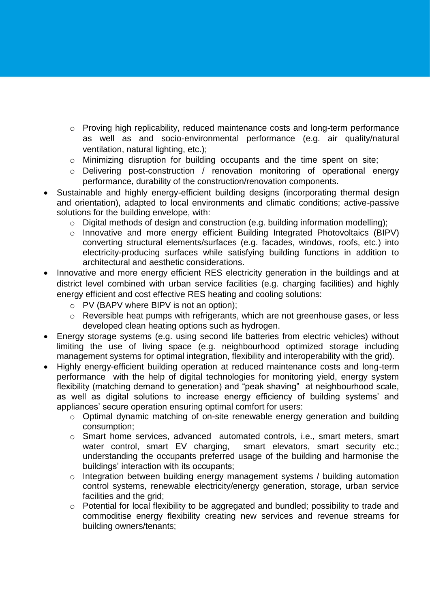- o Proving high replicability, reduced maintenance costs and long-term performance as well as and socio-environmental performance (e.g. air quality/natural ventilation, natural lighting, etc.);
- o Minimizing disruption for building occupants and the time spent on site;
- o Delivering post-construction / renovation monitoring of operational energy performance, durability of the construction/renovation components.
- Sustainable and highly energy-efficient building designs (incorporating thermal design and orientation), adapted to local environments and climatic conditions; active-passive solutions for the building envelope, with:
	- o Digital methods of design and construction (e.g. building information modelling);
	- o Innovative and more energy efficient Building Integrated Photovoltaics (BIPV) converting structural elements/surfaces (e.g. facades, windows, roofs, etc.) into electricity-producing surfaces while satisfying building functions in addition to architectural and aesthetic considerations.
- Innovative and more energy efficient RES electricity generation in the buildings and at district level combined with urban service facilities (e.g. charging facilities) and highly energy efficient and cost effective RES heating and cooling solutions:
	- o PV (BAPV where BIPV is not an option);
	- o Reversible heat pumps with refrigerants, which are not greenhouse gases, or less developed clean heating options such as hydrogen.
- Energy storage systems (e.g. using second life batteries from electric vehicles) without limiting the use of living space (e.g. neighbourhood optimized storage including management systems for optimal integration, flexibility and interoperability with the grid).
- Highly energy-efficient building operation at reduced maintenance costs and long-term performance with the help of digital technologies for monitoring yield, energy system flexibility (matching demand to generation) and "peak shaving" at neighbourhood scale, as well as digital solutions to increase energy efficiency of building systems' and appliances' secure operation ensuring optimal comfort for users:
	- o Optimal dynamic matching of on-site renewable energy generation and building consumption;
	- o Smart home services, advanced automated controls, i.e., smart meters, smart water control, smart EV charging, smart elevators, smart security etc.; understanding the occupants preferred usage of the building and harmonise the buildings' interaction with its occupants;
	- o Integration between building energy management systems / building automation control systems, renewable electricity/energy generation, storage, urban service facilities and the grid:
	- o Potential for local flexibility to be aggregated and bundled; possibility to trade and commoditise energy flexibility creating new services and revenue streams for building owners/tenants;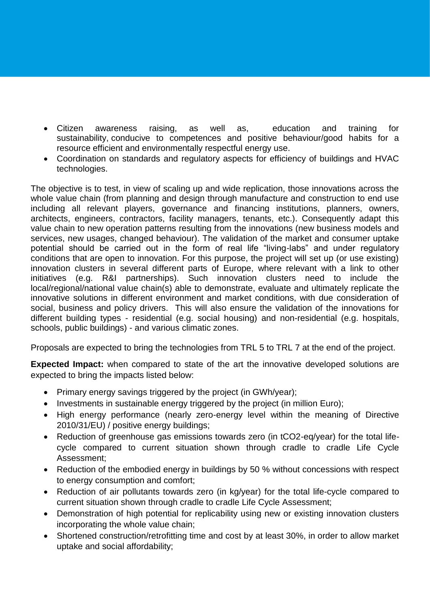- Citizen awareness raising, as well as, education and training for sustainability, conducive to competences and positive behaviour/good habits for a resource efficient and environmentally respectful energy use.
- Coordination on standards and regulatory aspects for efficiency of buildings and HVAC technologies.

The objective is to test, in view of scaling up and wide replication, those innovations across the whole value chain (from planning and design through manufacture and construction to end use including all relevant players, governance and financing institutions, planners, owners, architects, engineers, contractors, facility managers, tenants, etc.). Consequently adapt this value chain to new operation patterns resulting from the innovations (new business models and services, new usages, changed behaviour). The validation of the market and consumer uptake potential should be carried out in the form of real life "living-labs" and under regulatory conditions that are open to innovation. For this purpose, the project will set up (or use existing) innovation clusters in several different parts of Europe, where relevant with a link to other initiatives (e.g. R&I partnerships). Such innovation clusters need to include the local/regional/national value chain(s) able to demonstrate, evaluate and ultimately replicate the innovative solutions in different environment and market conditions, with due consideration of social, business and policy drivers. This will also ensure the validation of the innovations for different building types - residential (e.g. social housing) and non-residential (e.g. hospitals, schools, public buildings) - and various climatic zones.

Proposals are expected to bring the technologies from TRL 5 to TRL 7 at the end of the project.

**Expected Impact:** when compared to state of the art the innovative developed solutions are expected to bring the impacts listed below:

- Primary energy savings triggered by the project (in GWh/year);
- Investments in sustainable energy triggered by the project (in million Euro);
- High energy performance (nearly zero-energy level within the meaning of Directive 2010/31/EU) / positive energy buildings;
- Reduction of greenhouse gas emissions towards zero (in tCO2-eq/year) for the total lifecycle compared to current situation shown through cradle to cradle Life Cycle Assessment;
- Reduction of the embodied energy in buildings by 50 % without concessions with respect to energy consumption and comfort;
- Reduction of air pollutants towards zero (in kg/year) for the total life-cycle compared to current situation shown through cradle to cradle Life Cycle Assessment;
- Demonstration of high potential for replicability using new or existing innovation clusters incorporating the whole value chain;
- Shortened construction/retrofitting time and cost by at least 30%, in order to allow market uptake and social affordability;